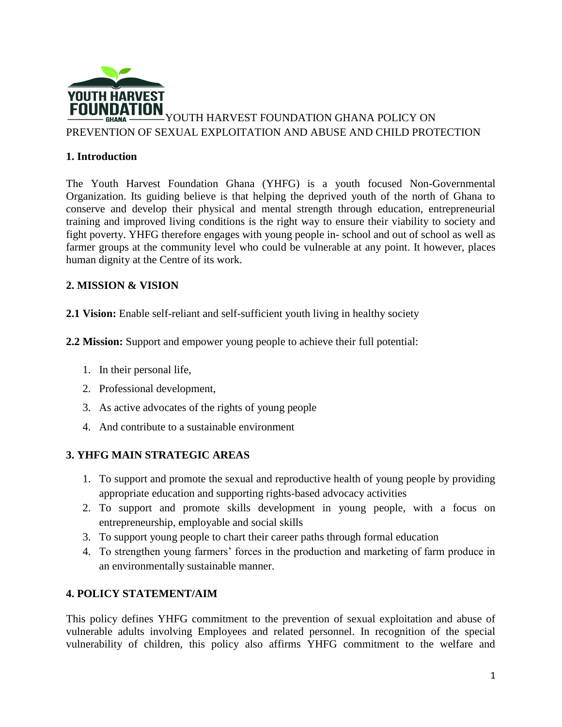

# YOUTH HARVEST FOUNDATION GHANA POLICY ON PREVENTION OF SEXUAL EXPLOITATION AND ABUSE AND CHILD PROTECTION

# **1. Introduction**

The Youth Harvest Foundation Ghana (YHFG) is a youth focused Non-Governmental Organization. Its guiding believe is that helping the deprived youth of the north of Ghana to conserve and develop their physical and mental strength through education, entrepreneurial training and improved living conditions is the right way to ensure their viability to society and fight poverty. YHFG therefore engages with young people in- school and out of school as well as farmer groups at the community level who could be vulnerable at any point. It however, places human dignity at the Centre of its work.

# **2. MISSION & VISION**

**2.1 Vision:** Enable self-reliant and self-sufficient youth living in healthy society

**2.2 Mission:** Support and empower young people to achieve their full potential:

- 1. In their personal life,
- 2. Professional development,
- 3. As active advocates of the rights of young people
- 4. And contribute to a sustainable environment

# **3. YHFG MAIN STRATEGIC AREAS**

- 1. To support and promote the sexual and reproductive health of young people by providing appropriate education and supporting rights-based advocacy activities
- 2. To support and promote skills development in young people, with a focus on entrepreneurship, employable and social skills
- 3. To support young people to chart their career paths through formal education
- 4. To strengthen young farmers' forces in the production and marketing of farm produce in an environmentally sustainable manner.

# **4. POLICY STATEMENT/AIM**

This policy defines YHFG commitment to the prevention of sexual exploitation and abuse of vulnerable adults involving Employees and related personnel. In recognition of the special vulnerability of children, this policy also affirms YHFG commitment to the welfare and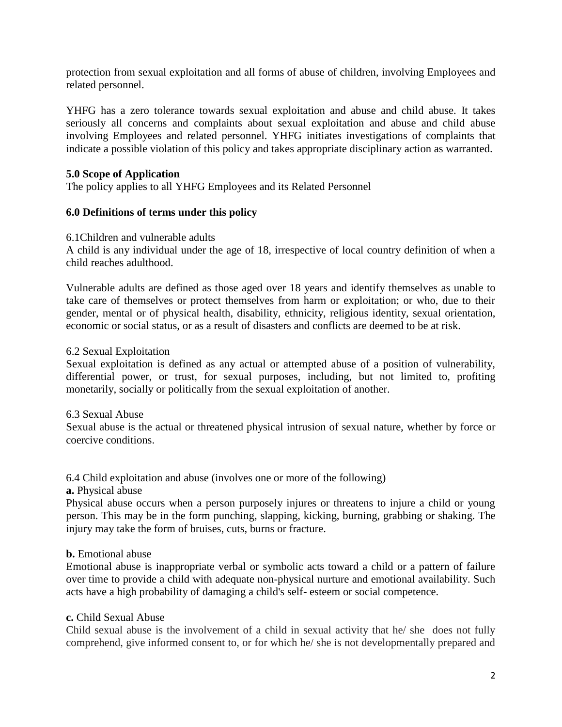protection from sexual exploitation and all forms of abuse of children, involving Employees and related personnel.

YHFG has a zero tolerance towards sexual exploitation and abuse and child abuse. It takes seriously all concerns and complaints about sexual exploitation and abuse and child abuse involving Employees and related personnel. YHFG initiates investigations of complaints that indicate a possible violation of this policy and takes appropriate disciplinary action as warranted.

### **5.0 Scope of Application**

The policy applies to all YHFG Employees and its Related Personnel

### **6.0 Definitions of terms under this policy**

#### 6.1Children and vulnerable adults

A child is any individual under the age of 18, irrespective of local country definition of when a child reaches adulthood.

Vulnerable adults are defined as those aged over 18 years and identify themselves as unable to take care of themselves or protect themselves from harm or exploitation; or who, due to their gender, mental or of physical health, disability, ethnicity, religious identity, sexual orientation, economic or social status, or as a result of disasters and conflicts are deemed to be at risk.

#### 6.2 Sexual Exploitation

Sexual exploitation is defined as any actual or attempted abuse of a position of vulnerability, differential power, or trust, for sexual purposes, including, but not limited to, profiting monetarily, socially or politically from the sexual exploitation of another.

#### 6.3 Sexual Abuse

Sexual abuse is the actual or threatened physical intrusion of sexual nature, whether by force or coercive conditions.

6.4 Child exploitation and abuse (involves one or more of the following)

**a.** Physical abuse

Physical abuse occurs when a person purposely injures or threatens to injure a child or young person. This may be in the form punching, slapping, kicking, burning, grabbing or shaking. The injury may take the form of bruises, cuts, burns or fracture.

#### **b.** Emotional abuse

Emotional abuse is inappropriate verbal or symbolic acts toward a child or a pattern of failure over time to provide a child with adequate non-physical nurture and emotional availability. Such acts have a high probability of damaging a child's self- esteem or social competence.

#### **c.** Child Sexual Abuse

Child sexual abuse is the involvement of a child in sexual activity that he/ she does not fully comprehend, give informed consent to, or for which he/ she is not developmentally prepared and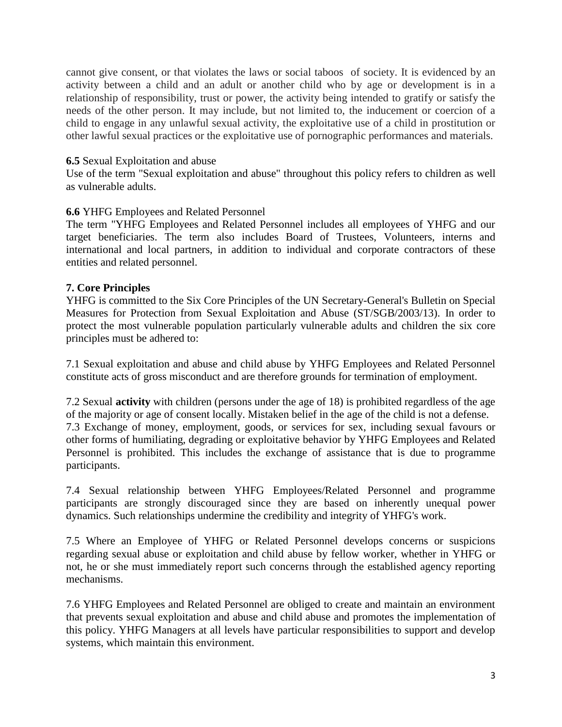cannot give consent, or that violates the laws or social taboos of society. It is evidenced by an activity between a child and an adult or another child who by age or development is in a relationship of responsibility, trust or power, the activity being intended to gratify or satisfy the needs of the other person. It may include, but not limited to, the inducement or coercion of a child to engage in any unlawful sexual activity, the exploitative use of a child in prostitution or other lawful sexual practices or the exploitative use of pornographic performances and materials.

### **6.5** Sexual Exploitation and abuse

Use of the term "Sexual exploitation and abuse" throughout this policy refers to children as well as vulnerable adults.

### **6.6** YHFG Employees and Related Personnel

The term "YHFG Employees and Related Personnel includes all employees of YHFG and our target beneficiaries. The term also includes Board of Trustees, Volunteers, interns and international and local partners, in addition to individual and corporate contractors of these entities and related personnel.

## **7. Core Principles**

YHFG is committed to the Six Core Principles of the UN Secretary-General's Bulletin on Special Measures for Protection from Sexual Exploitation and Abuse (ST/SGB/2003/13). In order to protect the most vulnerable population particularly vulnerable adults and children the six core principles must be adhered to:

7.1 Sexual exploitation and abuse and child abuse by YHFG Employees and Related Personnel constitute acts of gross misconduct and are therefore grounds for termination of employment.

7.2 Sexual **activity** with children (persons under the age of 18) is prohibited regardless of the age of the majority or age of consent locally. Mistaken belief in the age of the child is not a defense. 7.3 Exchange of money, employment, goods, or services for sex, including sexual favours or other forms of humiliating, degrading or exploitative behavior by YHFG Employees and Related Personnel is prohibited. This includes the exchange of assistance that is due to programme participants.

7.4 Sexual relationship between YHFG Employees/Related Personnel and programme participants are strongly discouraged since they are based on inherently unequal power dynamics. Such relationships undermine the credibility and integrity of YHFG's work.

7.5 Where an Employee of YHFG or Related Personnel develops concerns or suspicions regarding sexual abuse or exploitation and child abuse by fellow worker, whether in YHFG or not, he or she must immediately report such concerns through the established agency reporting mechanisms.

7.6 YHFG Employees and Related Personnel are obliged to create and maintain an environment that prevents sexual exploitation and abuse and child abuse and promotes the implementation of this policy. YHFG Managers at all levels have particular responsibilities to support and develop systems, which maintain this environment.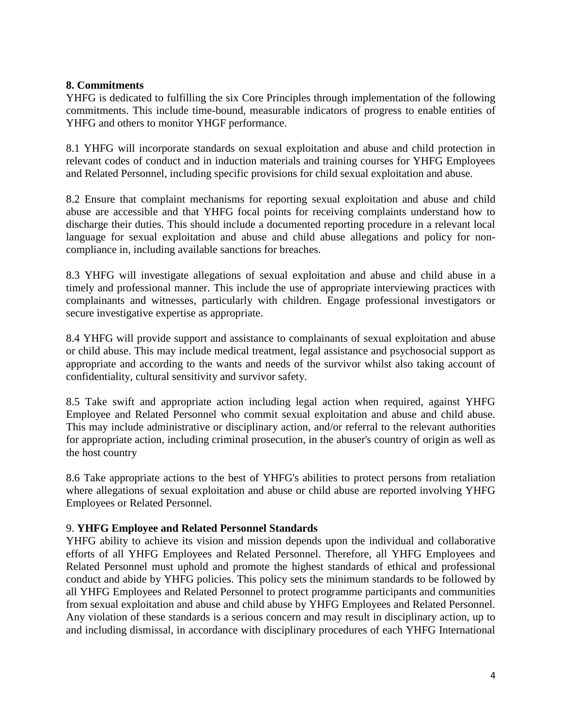### **8. Commitments**

YHFG is dedicated to fulfilling the six Core Principles through implementation of the following commitments. This include time-bound, measurable indicators of progress to enable entities of YHFG and others to monitor YHGF performance.

8.1 YHFG will incorporate standards on sexual exploitation and abuse and child protection in relevant codes of conduct and in induction materials and training courses for YHFG Employees and Related Personnel, including specific provisions for child sexual exploitation and abuse.

8.2 Ensure that complaint mechanisms for reporting sexual exploitation and abuse and child abuse are accessible and that YHFG focal points for receiving complaints understand how to discharge their duties. This should include a documented reporting procedure in a relevant local language for sexual exploitation and abuse and child abuse allegations and policy for noncompliance in, including available sanctions for breaches.

8.3 YHFG will investigate allegations of sexual exploitation and abuse and child abuse in a timely and professional manner. This include the use of appropriate interviewing practices with complainants and witnesses, particularly with children. Engage professional investigators or secure investigative expertise as appropriate.

8.4 YHFG will provide support and assistance to complainants of sexual exploitation and abuse or child abuse. This may include medical treatment, legal assistance and psychosocial support as appropriate and according to the wants and needs of the survivor whilst also taking account of confidentiality, cultural sensitivity and survivor safety.

8.5 Take swift and appropriate action including legal action when required, against YHFG Employee and Related Personnel who commit sexual exploitation and abuse and child abuse. This may include administrative or disciplinary action, and/or referral to the relevant authorities for appropriate action, including criminal prosecution, in the abuser's country of origin as well as the host country

8.6 Take appropriate actions to the best of YHFG's abilities to protect persons from retaliation where allegations of sexual exploitation and abuse or child abuse are reported involving YHFG Employees or Related Personnel.

#### 9. **YHFG Employee and Related Personnel Standards**

YHFG ability to achieve its vision and mission depends upon the individual and collaborative efforts of all YHFG Employees and Related Personnel. Therefore, all YHFG Employees and Related Personnel must uphold and promote the highest standards of ethical and professional conduct and abide by YHFG policies. This policy sets the minimum standards to be followed by all YHFG Employees and Related Personnel to protect programme participants and communities from sexual exploitation and abuse and child abuse by YHFG Employees and Related Personnel. Any violation of these standards is a serious concern and may result in disciplinary action, up to and including dismissal, in accordance with disciplinary procedures of each YHFG International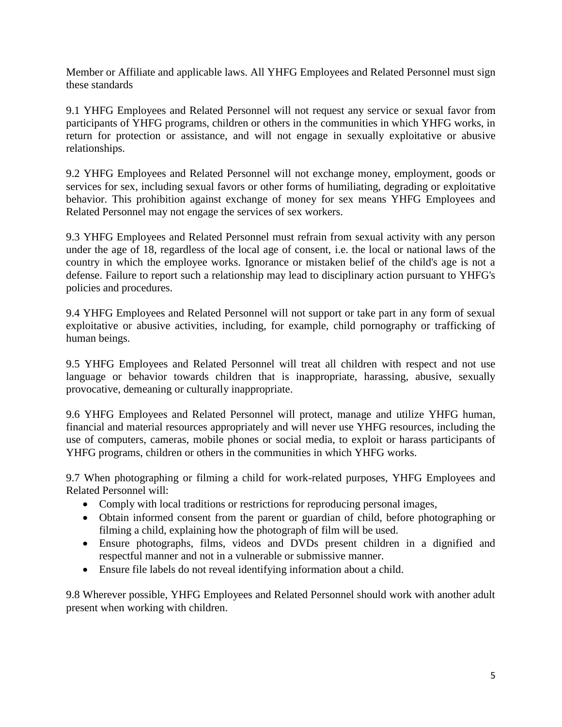Member or Affiliate and applicable laws. All YHFG Employees and Related Personnel must sign these standards

9.1 YHFG Employees and Related Personnel will not request any service or sexual favor from participants of YHFG programs, children or others in the communities in which YHFG works, in return for protection or assistance, and will not engage in sexually exploitative or abusive relationships.

9.2 YHFG Employees and Related Personnel will not exchange money, employment, goods or services for sex, including sexual favors or other forms of humiliating, degrading or exploitative behavior. This prohibition against exchange of money for sex means YHFG Employees and Related Personnel may not engage the services of sex workers.

9.3 YHFG Employees and Related Personnel must refrain from sexual activity with any person under the age of 18, regardless of the local age of consent, i.e. the local or national laws of the country in which the employee works. Ignorance or mistaken belief of the child's age is not a defense. Failure to report such a relationship may lead to disciplinary action pursuant to YHFG's policies and procedures.

9.4 YHFG Employees and Related Personnel will not support or take part in any form of sexual exploitative or abusive activities, including, for example, child pornography or trafficking of human beings.

9.5 YHFG Employees and Related Personnel will treat all children with respect and not use language or behavior towards children that is inappropriate, harassing, abusive, sexually provocative, demeaning or culturally inappropriate.

9.6 YHFG Employees and Related Personnel will protect, manage and utilize YHFG human, financial and material resources appropriately and will never use YHFG resources, including the use of computers, cameras, mobile phones or social media, to exploit or harass participants of YHFG programs, children or others in the communities in which YHFG works.

9.7 When photographing or filming a child for work-related purposes, YHFG Employees and Related Personnel will:

- Comply with local traditions or restrictions for reproducing personal images,
- Obtain informed consent from the parent or guardian of child, before photographing or filming a child, explaining how the photograph of film will be used.
- Ensure photographs, films, videos and DVDs present children in a dignified and respectful manner and not in a vulnerable or submissive manner.
- Ensure file labels do not reveal identifying information about a child.

9.8 Wherever possible, YHFG Employees and Related Personnel should work with another adult present when working with children.